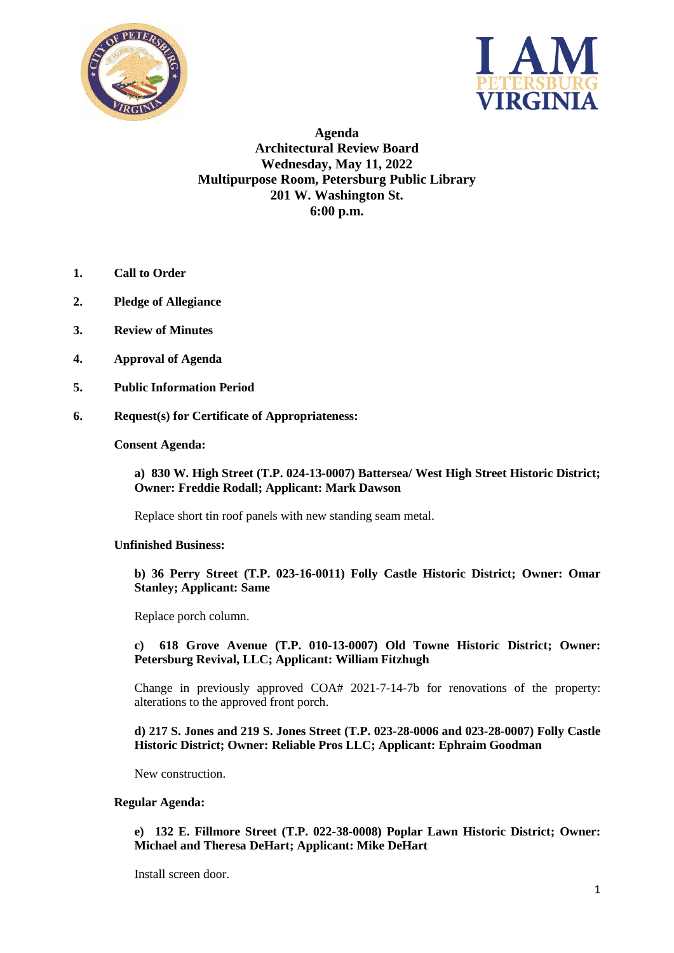



**Agenda Architectural Review Board Wednesday, May 11, 2022 Multipurpose Room, Petersburg Public Library 201 W. Washington St. 6:00 p.m.**

- **1. Call to Order**
- **2. Pledge of Allegiance**
- **3. Review of Minutes**
- **4. Approval of Agenda**
- **5. Public Information Period**
- **6. Request(s) for Certificate of Appropriateness:**

#### **Consent Agenda:**

**a) 830 W. High Street (T.P. 024-13-0007) Battersea/ West High Street Historic District; Owner: Freddie Rodall; Applicant: Mark Dawson**

Replace short tin roof panels with new standing seam metal.

# **Unfinished Business:**

**b) 36 Perry Street (T.P. 023-16-0011) Folly Castle Historic District; Owner: Omar Stanley; Applicant: Same**

Replace porch column.

## **c) 618 Grove Avenue (T.P. 010-13-0007) Old Towne Historic District; Owner: Petersburg Revival, LLC; Applicant: William Fitzhugh**

Change in previously approved COA# 2021-7-14-7b for renovations of the property: alterations to the approved front porch.

### **d) 217 S. Jones and 219 S. Jones Street (T.P. 023-28-0006 and 023-28-0007) Folly Castle Historic District; Owner: Reliable Pros LLC; Applicant: Ephraim Goodman**

New construction.

#### **Regular Agenda:**

**e) 132 E. Fillmore Street (T.P. 022-38-0008) Poplar Lawn Historic District; Owner: Michael and Theresa DeHart; Applicant: Mike DeHart**

Install screen door.